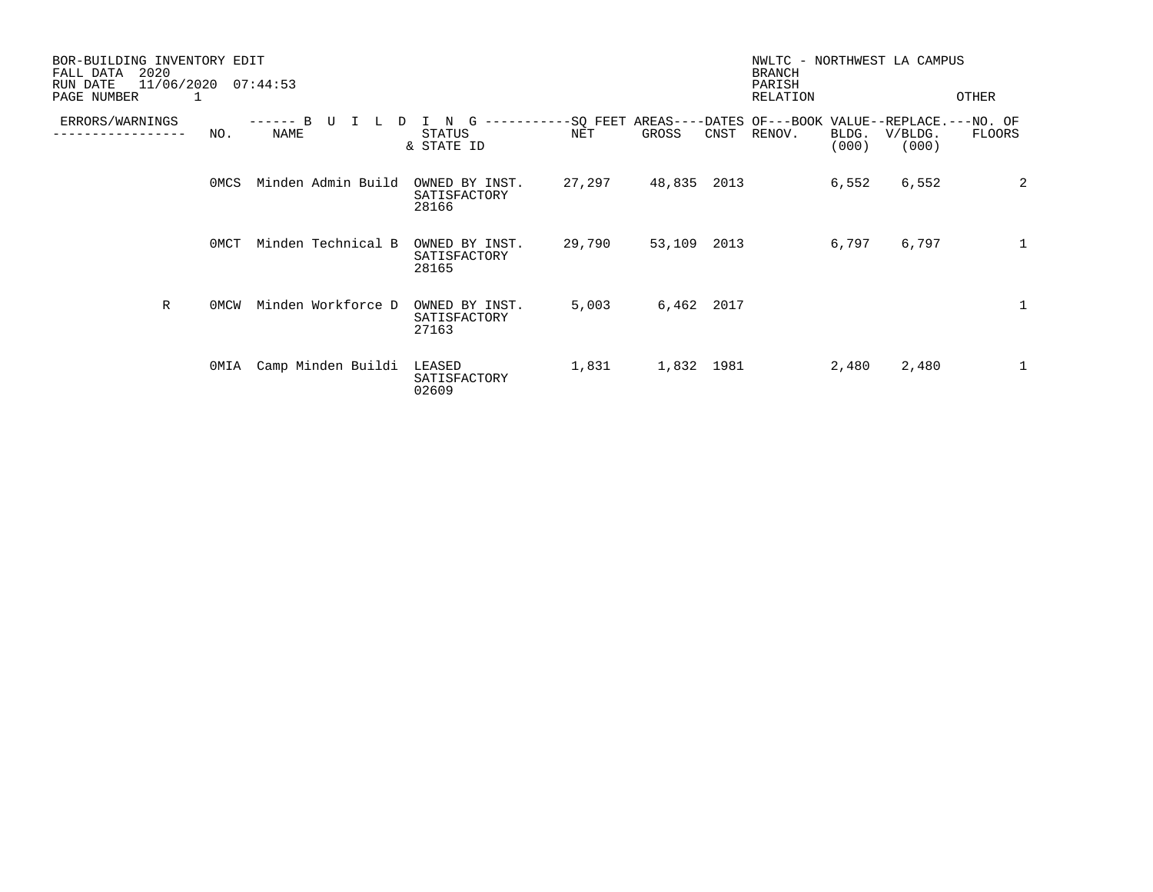| BOR-BUILDING INVENTORY EDIT<br>2020<br>FALL DATA<br>11/06/2020<br>RUN DATE |      | 07:44:53              |                                         |                        |                     |      | NWLTC - NORTHWEST LA CAMPUS<br><b>BRANCH</b><br>PARISH |                |                  |              |
|----------------------------------------------------------------------------|------|-----------------------|-----------------------------------------|------------------------|---------------------|------|--------------------------------------------------------|----------------|------------------|--------------|
| PAGE NUMBER                                                                |      |                       |                                         |                        |                     |      | RELATION                                               |                |                  | OTHER        |
| ERRORS/WARNINGS                                                            | NO.  | B<br><b>L</b><br>NAME | N<br><b>STATUS</b><br>& STATE ID        | --------SQ FEET<br>NET | $AREAS---$<br>GROSS | CNST | -DATES OF---BOOK VALUE--REPLACE.---NO. OF<br>RENOV.    | BLDG.<br>(000) | V/BLDG.<br>(000) | FLOORS       |
|                                                                            | 0MCS | Minden Admin Build    | OWNED BY INST.<br>SATISFACTORY<br>28166 | 27,297                 | 48,835              | 2013 |                                                        | 6,552          | 6,552            | 2            |
|                                                                            | 0MCT | Minden Technical B    | OWNED BY INST.<br>SATISFACTORY<br>28165 | 29,790                 | 53,109              | 2013 |                                                        | 6,797          | 6,797            | $\mathbf{1}$ |
| $\mathbb{R}$                                                               | 0MCW | Minden Workforce D    | OWNED BY INST.<br>SATISFACTORY<br>27163 | 5,003                  | 6,462               | 2017 |                                                        |                |                  | 1            |
|                                                                            | OMIA | Camp Minden Buildi    | LEASED<br>SATISFACTORY<br>02609         | 1,831                  | 1,832 1981          |      |                                                        | 2,480          | 2,480            | $\mathbf{1}$ |